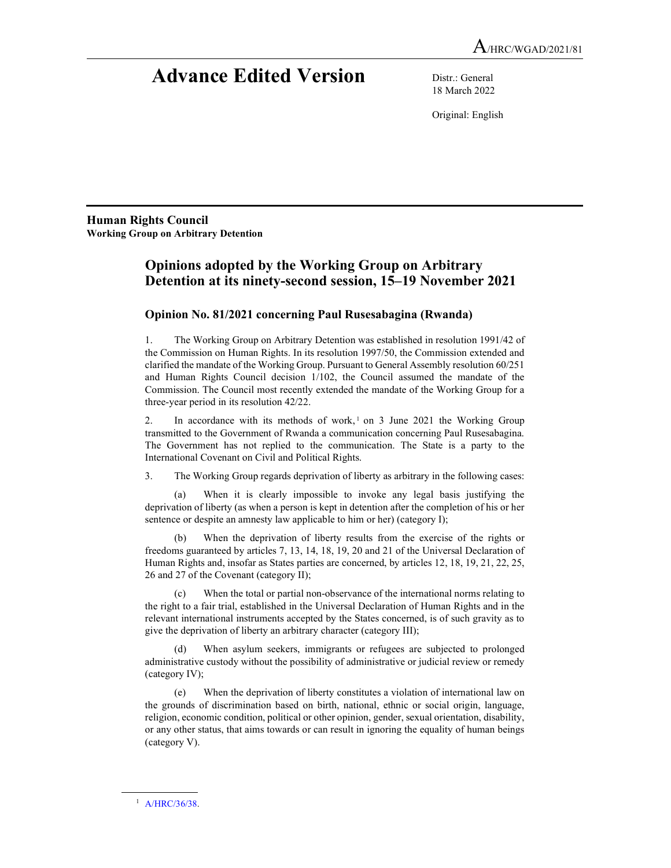# Advance Edited Version Distr.: General

18 March 2022

Original: English

Human Rights Council Working Group on Arbitrary Detention

# Opinions adopted by the Working Group on Arbitrary Detention at its ninety-second session, 15–19 November 2021

# Opinion No. 81/2021 concerning Paul Rusesabagina (Rwanda)

1. The Working Group on Arbitrary Detention was established in resolution 1991/42 of the Commission on Human Rights. In its resolution 1997/50, the Commission extended and clarified the mandate of the Working Group. Pursuant to General Assembly resolution 60/251 and Human Rights Council decision 1/102, the Council assumed the mandate of the Commission. The Council most recently extended the mandate of the Working Group for a three-year period in its resolution 42/22.

2. In accordance with its methods of work,<sup>1</sup> on 3 June 2021 the Working Group transmitted to the Government of Rwanda a communication concerning Paul Rusesabagina. The Government has not replied to the communication. The State is a party to the International Covenant on Civil and Political Rights.

3. The Working Group regards deprivation of liberty as arbitrary in the following cases:

 (a) When it is clearly impossible to invoke any legal basis justifying the deprivation of liberty (as when a person is kept in detention after the completion of his or her sentence or despite an amnesty law applicable to him or her) (category I);

 (b) When the deprivation of liberty results from the exercise of the rights or freedoms guaranteed by articles 7, 13, 14, 18, 19, 20 and 21 of the Universal Declaration of Human Rights and, insofar as States parties are concerned, by articles 12, 18, 19, 21, 22, 25, 26 and 27 of the Covenant (category II);

 (c) When the total or partial non-observance of the international norms relating to the right to a fair trial, established in the Universal Declaration of Human Rights and in the relevant international instruments accepted by the States concerned, is of such gravity as to give the deprivation of liberty an arbitrary character (category III);

 (d) When asylum seekers, immigrants or refugees are subjected to prolonged administrative custody without the possibility of administrative or judicial review or remedy (category IV);

 (e) When the deprivation of liberty constitutes a violation of international law on the grounds of discrimination based on birth, national, ethnic or social origin, language, religion, economic condition, political or other opinion, gender, sexual orientation, disability, or any other status, that aims towards or can result in ignoring the equality of human beings (category V).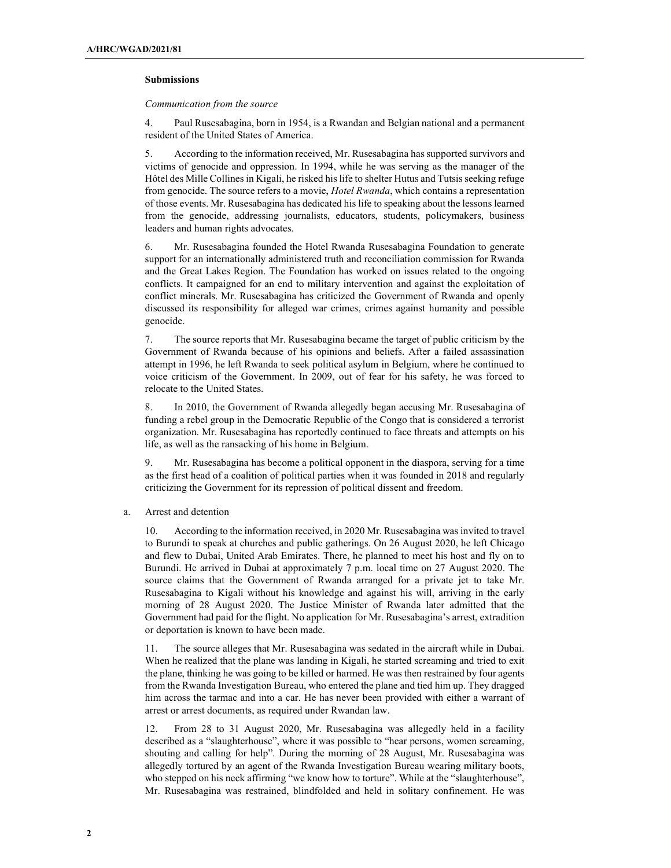#### Submissions

### Communication from the source

4. Paul Rusesabagina, born in 1954, is a Rwandan and Belgian national and a permanent resident of the United States of America.

5. According to the information received, Mr. Rusesabagina has supported survivors and victims of genocide and oppression. In 1994, while he was serving as the manager of the Hôtel des Mille Collines in Kigali, he risked his life to shelter Hutus and Tutsis seeking refuge from genocide. The source refers to a movie, *Hotel Rwanda*, which contains a representation of those events. Mr. Rusesabagina has dedicated his life to speaking about the lessons learned from the genocide, addressing journalists, educators, students, policymakers, business leaders and human rights advocates.

6. Mr. Rusesabagina founded the Hotel Rwanda Rusesabagina Foundation to generate support for an internationally administered truth and reconciliation commission for Rwanda and the Great Lakes Region. The Foundation has worked on issues related to the ongoing conflicts. It campaigned for an end to military intervention and against the exploitation of conflict minerals. Mr. Rusesabagina has criticized the Government of Rwanda and openly discussed its responsibility for alleged war crimes, crimes against humanity and possible genocide.

7. The source reports that Mr. Rusesabagina became the target of public criticism by the Government of Rwanda because of his opinions and beliefs. After a failed assassination attempt in 1996, he left Rwanda to seek political asylum in Belgium, where he continued to voice criticism of the Government. In 2009, out of fear for his safety, he was forced to relocate to the United States.

8. In 2010, the Government of Rwanda allegedly began accusing Mr. Rusesabagina of funding a rebel group in the Democratic Republic of the Congo that is considered a terrorist organization. Mr. Rusesabagina has reportedly continued to face threats and attempts on his life, as well as the ransacking of his home in Belgium.

9. Mr. Rusesabagina has become a political opponent in the diaspora, serving for a time as the first head of a coalition of political parties when it was founded in 2018 and regularly criticizing the Government for its repression of political dissent and freedom.

a. Arrest and detention

10. According to the information received, in 2020 Mr. Rusesabagina was invited to travel to Burundi to speak at churches and public gatherings. On 26 August 2020, he left Chicago and flew to Dubai, United Arab Emirates. There, he planned to meet his host and fly on to Burundi. He arrived in Dubai at approximately 7 p.m. local time on 27 August 2020. The source claims that the Government of Rwanda arranged for a private jet to take Mr. Rusesabagina to Kigali without his knowledge and against his will, arriving in the early morning of 28 August 2020. The Justice Minister of Rwanda later admitted that the Government had paid for the flight. No application for Mr. Rusesabagina's arrest, extradition or deportation is known to have been made.

11. The source alleges that Mr. Rusesabagina was sedated in the aircraft while in Dubai. When he realized that the plane was landing in Kigali, he started screaming and tried to exit the plane, thinking he was going to be killed or harmed. He was then restrained by four agents from the Rwanda Investigation Bureau, who entered the plane and tied him up. They dragged him across the tarmac and into a car. He has never been provided with either a warrant of arrest or arrest documents, as required under Rwandan law.

12. From 28 to 31 August 2020, Mr. Rusesabagina was allegedly held in a facility described as a "slaughterhouse", where it was possible to "hear persons, women screaming, shouting and calling for help". During the morning of 28 August, Mr. Rusesabagina was allegedly tortured by an agent of the Rwanda Investigation Bureau wearing military boots, who stepped on his neck affirming "we know how to torture". While at the "slaughterhouse", Mr. Rusesabagina was restrained, blindfolded and held in solitary confinement. He was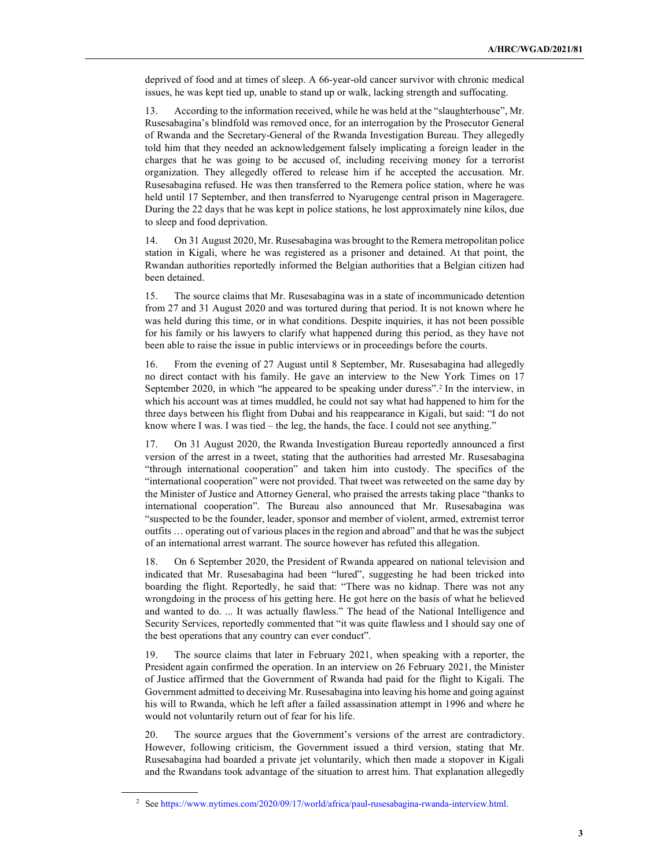deprived of food and at times of sleep. A 66-year-old cancer survivor with chronic medical issues, he was kept tied up, unable to stand up or walk, lacking strength and suffocating.

13. According to the information received, while he was held at the "slaughterhouse", Mr. Rusesabagina's blindfold was removed once, for an interrogation by the Prosecutor General of Rwanda and the Secretary-General of the Rwanda Investigation Bureau. They allegedly told him that they needed an acknowledgement falsely implicating a foreign leader in the charges that he was going to be accused of, including receiving money for a terrorist organization. They allegedly offered to release him if he accepted the accusation. Mr. Rusesabagina refused. He was then transferred to the Remera police station, where he was held until 17 September, and then transferred to Nyarugenge central prison in Mageragere. During the 22 days that he was kept in police stations, he lost approximately nine kilos, due to sleep and food deprivation.

14. On 31 August 2020, Mr. Rusesabagina was brought to the Remera metropolitan police station in Kigali, where he was registered as a prisoner and detained. At that point, the Rwandan authorities reportedly informed the Belgian authorities that a Belgian citizen had been detained.

15. The source claims that Mr. Rusesabagina was in a state of incommunicado detention from 27 and 31 August 2020 and was tortured during that period. It is not known where he was held during this time, or in what conditions. Despite inquiries, it has not been possible for his family or his lawyers to clarify what happened during this period, as they have not been able to raise the issue in public interviews or in proceedings before the courts.

16. From the evening of 27 August until 8 September, Mr. Rusesabagina had allegedly no direct contact with his family. He gave an interview to the New York Times on 17 September 2020, in which "he appeared to be speaking under duress".<sup>2</sup> In the interview, in which his account was at times muddled, he could not say what had happened to him for the three days between his flight from Dubai and his reappearance in Kigali, but said: "I do not know where I was. I was tied – the leg, the hands, the face. I could not see anything."

17. On 31 August 2020, the Rwanda Investigation Bureau reportedly announced a first version of the arrest in a tweet, stating that the authorities had arrested Mr. Rusesabagina "through international cooperation" and taken him into custody. The specifics of the "international cooperation" were not provided. That tweet was retweeted on the same day by the Minister of Justice and Attorney General, who praised the arrests taking place "thanks to international cooperation". The Bureau also announced that Mr. Rusesabagina was "suspected to be the founder, leader, sponsor and member of violent, armed, extremist terror outfits … operating out of various places in the region and abroad" and that he was the subject of an international arrest warrant. The source however has refuted this allegation.

18. On 6 September 2020, the President of Rwanda appeared on national television and indicated that Mr. Rusesabagina had been "lured", suggesting he had been tricked into boarding the flight. Reportedly, he said that: "There was no kidnap. There was not any wrongdoing in the process of his getting here. He got here on the basis of what he believed and wanted to do. ... It was actually flawless." The head of the National Intelligence and Security Services, reportedly commented that "it was quite flawless and I should say one of the best operations that any country can ever conduct".

19. The source claims that later in February 2021, when speaking with a reporter, the President again confirmed the operation. In an interview on 26 February 2021, the Minister of Justice affirmed that the Government of Rwanda had paid for the flight to Kigali. The Government admitted to deceiving Mr. Rusesabagina into leaving his home and going against his will to Rwanda, which he left after a failed assassination attempt in 1996 and where he would not voluntarily return out of fear for his life.

20. The source argues that the Government's versions of the arrest are contradictory. However, following criticism, the Government issued a third version, stating that Mr. Rusesabagina had boarded a private jet voluntarily, which then made a stopover in Kigali and the Rwandans took advantage of the situation to arrest him. That explanation allegedly

<sup>2</sup> See https://www.nytimes.com/2020/09/17/world/africa/paul-rusesabagina-rwanda-interview.html.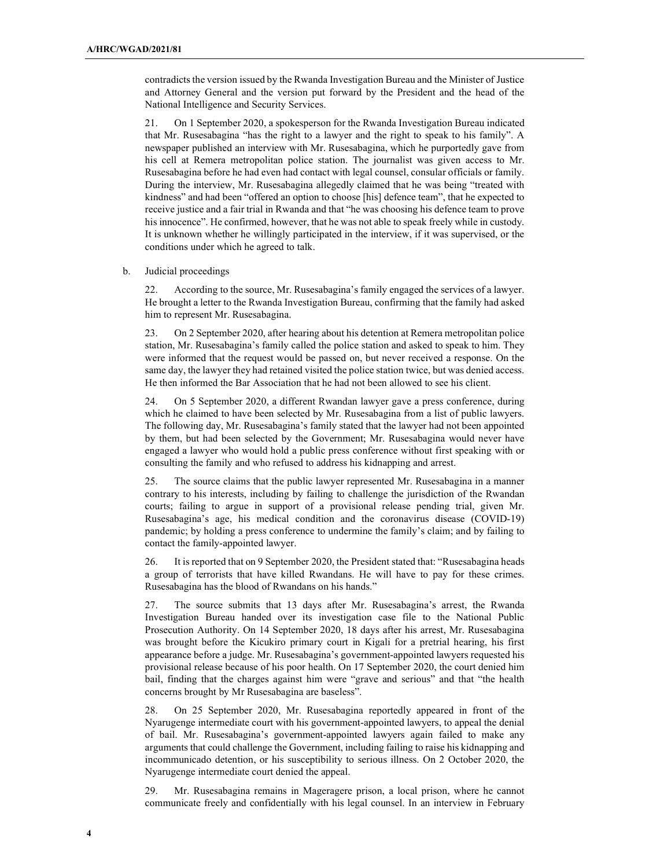contradicts the version issued by the Rwanda Investigation Bureau and the Minister of Justice and Attorney General and the version put forward by the President and the head of the National Intelligence and Security Services.

21. On 1 September 2020, a spokesperson for the Rwanda Investigation Bureau indicated that Mr. Rusesabagina "has the right to a lawyer and the right to speak to his family". A newspaper published an interview with Mr. Rusesabagina, which he purportedly gave from his cell at Remera metropolitan police station. The journalist was given access to Mr. Rusesabagina before he had even had contact with legal counsel, consular officials or family. During the interview, Mr. Rusesabagina allegedly claimed that he was being "treated with kindness" and had been "offered an option to choose [his] defence team", that he expected to receive justice and a fair trial in Rwanda and that "he was choosing his defence team to prove his innocence". He confirmed, however, that he was not able to speak freely while in custody. It is unknown whether he willingly participated in the interview, if it was supervised, or the conditions under which he agreed to talk.

#### b. Judicial proceedings

22. According to the source, Mr. Rusesabagina's family engaged the services of a lawyer. He brought a letter to the Rwanda Investigation Bureau, confirming that the family had asked him to represent Mr. Rusesabagina.

23. On 2 September 2020, after hearing about his detention at Remera metropolitan police station, Mr. Rusesabagina's family called the police station and asked to speak to him. They were informed that the request would be passed on, but never received a response. On the same day, the lawyer they had retained visited the police station twice, but was denied access. He then informed the Bar Association that he had not been allowed to see his client.

24. On 5 September 2020, a different Rwandan lawyer gave a press conference, during which he claimed to have been selected by Mr. Rusesabagina from a list of public lawyers. The following day, Mr. Rusesabagina's family stated that the lawyer had not been appointed by them, but had been selected by the Government; Mr. Rusesabagina would never have engaged a lawyer who would hold a public press conference without first speaking with or consulting the family and who refused to address his kidnapping and arrest.

25. The source claims that the public lawyer represented Mr. Rusesabagina in a manner contrary to his interests, including by failing to challenge the jurisdiction of the Rwandan courts; failing to argue in support of a provisional release pending trial, given Mr. Rusesabagina's age, his medical condition and the coronavirus disease (COVID-19) pandemic; by holding a press conference to undermine the family's claim; and by failing to contact the family-appointed lawyer.

26. It is reported that on 9 September 2020, the President stated that: "Rusesabagina heads a group of terrorists that have killed Rwandans. He will have to pay for these crimes. Rusesabagina has the blood of Rwandans on his hands."

27. The source submits that 13 days after Mr. Rusesabagina's arrest, the Rwanda Investigation Bureau handed over its investigation case file to the National Public Prosecution Authority. On 14 September 2020, 18 days after his arrest, Mr. Rusesabagina was brought before the Kicukiro primary court in Kigali for a pretrial hearing, his first appearance before a judge. Mr. Rusesabagina's government-appointed lawyers requested his provisional release because of his poor health. On 17 September 2020, the court denied him bail, finding that the charges against him were "grave and serious" and that "the health concerns brought by Mr Rusesabagina are baseless".

28. On 25 September 2020, Mr. Rusesabagina reportedly appeared in front of the Nyarugenge intermediate court with his government-appointed lawyers, to appeal the denial of bail. Mr. Rusesabagina's government-appointed lawyers again failed to make any arguments that could challenge the Government, including failing to raise his kidnapping and incommunicado detention, or his susceptibility to serious illness. On 2 October 2020, the Nyarugenge intermediate court denied the appeal.

29. Mr. Rusesabagina remains in Mageragere prison, a local prison, where he cannot communicate freely and confidentially with his legal counsel. In an interview in February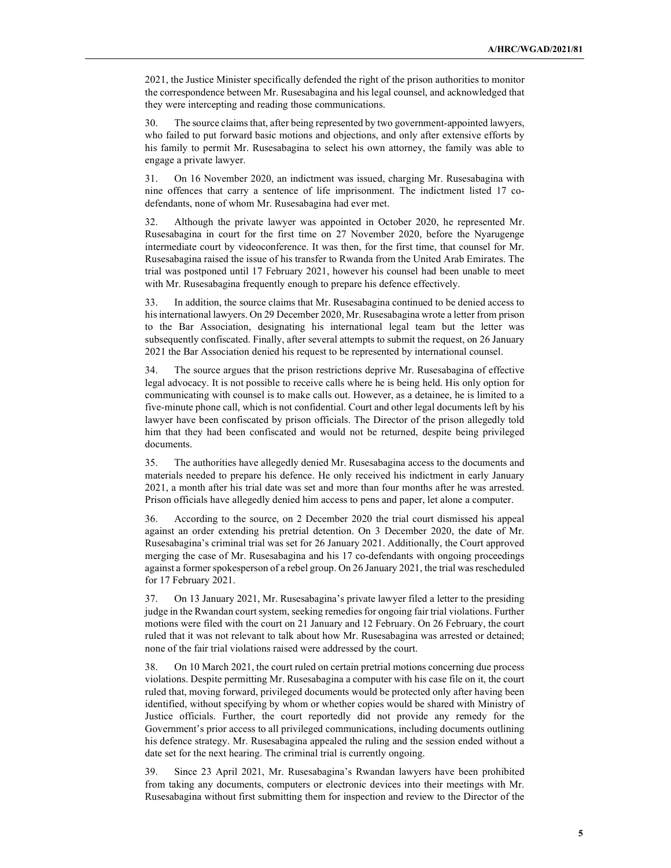2021, the Justice Minister specifically defended the right of the prison authorities to monitor the correspondence between Mr. Rusesabagina and his legal counsel, and acknowledged that they were intercepting and reading those communications.

30. The source claims that, after being represented by two government-appointed lawyers, who failed to put forward basic motions and objections, and only after extensive efforts by his family to permit Mr. Rusesabagina to select his own attorney, the family was able to engage a private lawyer.

31. On 16 November 2020, an indictment was issued, charging Mr. Rusesabagina with nine offences that carry a sentence of life imprisonment. The indictment listed 17 codefendants, none of whom Mr. Rusesabagina had ever met.

32. Although the private lawyer was appointed in October 2020, he represented Mr. Rusesabagina in court for the first time on 27 November 2020, before the Nyarugenge intermediate court by videoconference. It was then, for the first time, that counsel for Mr. Rusesabagina raised the issue of his transfer to Rwanda from the United Arab Emirates. The trial was postponed until 17 February 2021, however his counsel had been unable to meet with Mr. Rusesabagina frequently enough to prepare his defence effectively.

33. In addition, the source claims that Mr. Rusesabagina continued to be denied access to his international lawyers. On 29 December 2020, Mr. Rusesabagina wrote a letter from prison to the Bar Association, designating his international legal team but the letter was subsequently confiscated. Finally, after several attempts to submit the request, on 26 January 2021 the Bar Association denied his request to be represented by international counsel.

34. The source argues that the prison restrictions deprive Mr. Rusesabagina of effective legal advocacy. It is not possible to receive calls where he is being held. His only option for communicating with counsel is to make calls out. However, as a detainee, he is limited to a five-minute phone call, which is not confidential. Court and other legal documents left by his lawyer have been confiscated by prison officials. The Director of the prison allegedly told him that they had been confiscated and would not be returned, despite being privileged documents.

35. The authorities have allegedly denied Mr. Rusesabagina access to the documents and materials needed to prepare his defence. He only received his indictment in early January 2021, a month after his trial date was set and more than four months after he was arrested. Prison officials have allegedly denied him access to pens and paper, let alone a computer.

36. According to the source, on 2 December 2020 the trial court dismissed his appeal against an order extending his pretrial detention. On 3 December 2020, the date of Mr. Rusesabagina's criminal trial was set for 26 January 2021. Additionally, the Court approved merging the case of Mr. Rusesabagina and his 17 co-defendants with ongoing proceedings against a former spokesperson of a rebel group. On 26 January 2021, the trial was rescheduled for 17 February 2021.

37. On 13 January 2021, Mr. Rusesabagina's private lawyer filed a letter to the presiding judge in the Rwandan court system, seeking remedies for ongoing fair trial violations. Further motions were filed with the court on 21 January and 12 February. On 26 February, the court ruled that it was not relevant to talk about how Mr. Rusesabagina was arrested or detained; none of the fair trial violations raised were addressed by the court.

38. On 10 March 2021, the court ruled on certain pretrial motions concerning due process violations. Despite permitting Mr. Rusesabagina a computer with his case file on it, the court ruled that, moving forward, privileged documents would be protected only after having been identified, without specifying by whom or whether copies would be shared with Ministry of Justice officials. Further, the court reportedly did not provide any remedy for the Government's prior access to all privileged communications, including documents outlining his defence strategy. Mr. Rusesabagina appealed the ruling and the session ended without a date set for the next hearing. The criminal trial is currently ongoing.

39. Since 23 April 2021, Mr. Rusesabagina's Rwandan lawyers have been prohibited from taking any documents, computers or electronic devices into their meetings with Mr. Rusesabagina without first submitting them for inspection and review to the Director of the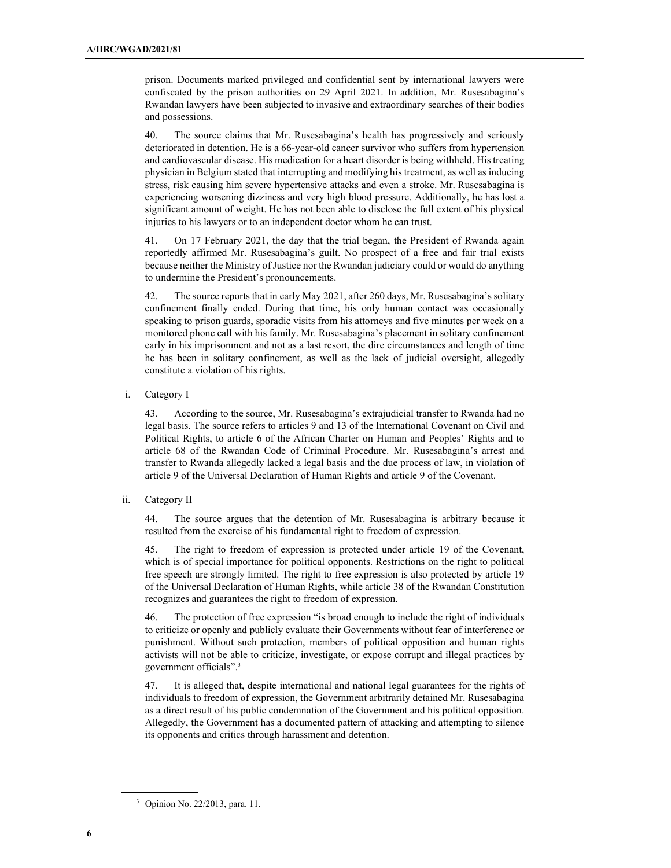prison. Documents marked privileged and confidential sent by international lawyers were confiscated by the prison authorities on 29 April 2021. In addition, Mr. Rusesabagina's Rwandan lawyers have been subjected to invasive and extraordinary searches of their bodies and possessions.

40. The source claims that Mr. Rusesabagina's health has progressively and seriously deteriorated in detention. He is a 66-year-old cancer survivor who suffers from hypertension and cardiovascular disease. His medication for a heart disorder is being withheld. His treating physician in Belgium stated that interrupting and modifying his treatment, as well as inducing stress, risk causing him severe hypertensive attacks and even a stroke. Mr. Rusesabagina is experiencing worsening dizziness and very high blood pressure. Additionally, he has lost a significant amount of weight. He has not been able to disclose the full extent of his physical injuries to his lawyers or to an independent doctor whom he can trust.

41. On 17 February 2021, the day that the trial began, the President of Rwanda again reportedly affirmed Mr. Rusesabagina's guilt. No prospect of a free and fair trial exists because neither the Ministry of Justice nor the Rwandan judiciary could or would do anything to undermine the President's pronouncements.

42. The source reports that in early May 2021, after 260 days, Mr. Rusesabagina's solitary confinement finally ended. During that time, his only human contact was occasionally speaking to prison guards, sporadic visits from his attorneys and five minutes per week on a monitored phone call with his family. Mr. Rusesabagina's placement in solitary confinement early in his imprisonment and not as a last resort, the dire circumstances and length of time he has been in solitary confinement, as well as the lack of judicial oversight, allegedly constitute a violation of his rights.

i. Category I

43. According to the source, Mr. Rusesabagina's extrajudicial transfer to Rwanda had no legal basis. The source refers to articles 9 and 13 of the International Covenant on Civil and Political Rights, to article 6 of the African Charter on Human and Peoples' Rights and to article 68 of the Rwandan Code of Criminal Procedure. Mr. Rusesabagina's arrest and transfer to Rwanda allegedly lacked a legal basis and the due process of law, in violation of article 9 of the Universal Declaration of Human Rights and article 9 of the Covenant.

ii. Category II

44. The source argues that the detention of Mr. Rusesabagina is arbitrary because it resulted from the exercise of his fundamental right to freedom of expression.

45. The right to freedom of expression is protected under article 19 of the Covenant, which is of special importance for political opponents. Restrictions on the right to political free speech are strongly limited. The right to free expression is also protected by article 19 of the Universal Declaration of Human Rights, while article 38 of the Rwandan Constitution recognizes and guarantees the right to freedom of expression.

46. The protection of free expression "is broad enough to include the right of individuals to criticize or openly and publicly evaluate their Governments without fear of interference or punishment. Without such protection, members of political opposition and human rights activists will not be able to criticize, investigate, or expose corrupt and illegal practices by government officials".<sup>3</sup>

47. It is alleged that, despite international and national legal guarantees for the rights of individuals to freedom of expression, the Government arbitrarily detained Mr. Rusesabagina as a direct result of his public condemnation of the Government and his political opposition. Allegedly, the Government has a documented pattern of attacking and attempting to silence its opponents and critics through harassment and detention.

<sup>3</sup> Opinion No. 22/2013, para. 11.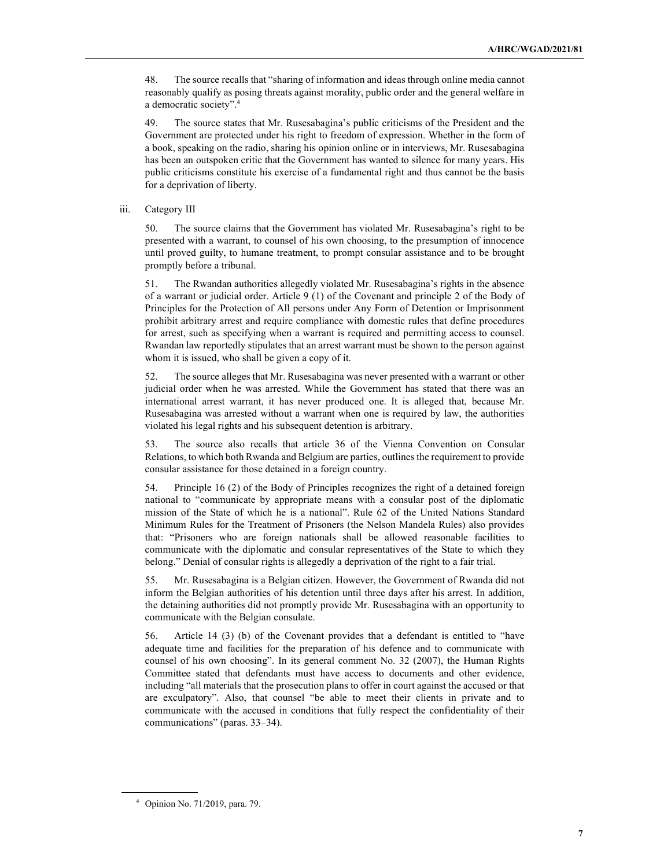48. The source recalls that "sharing of information and ideas through online media cannot reasonably qualify as posing threats against morality, public order and the general welfare in a democratic society".<sup>4</sup>

49. The source states that Mr. Rusesabagina's public criticisms of the President and the Government are protected under his right to freedom of expression. Whether in the form of a book, speaking on the radio, sharing his opinion online or in interviews, Mr. Rusesabagina has been an outspoken critic that the Government has wanted to silence for many years. His public criticisms constitute his exercise of a fundamental right and thus cannot be the basis for a deprivation of liberty.

#### iii. Category III

50. The source claims that the Government has violated Mr. Rusesabagina's right to be presented with a warrant, to counsel of his own choosing, to the presumption of innocence until proved guilty, to humane treatment, to prompt consular assistance and to be brought promptly before a tribunal.

51. The Rwandan authorities allegedly violated Mr. Rusesabagina's rights in the absence of a warrant or judicial order. Article 9 (1) of the Covenant and principle 2 of the Body of Principles for the Protection of All persons under Any Form of Detention or Imprisonment prohibit arbitrary arrest and require compliance with domestic rules that define procedures for arrest, such as specifying when a warrant is required and permitting access to counsel. Rwandan law reportedly stipulates that an arrest warrant must be shown to the person against whom it is issued, who shall be given a copy of it.

52. The source alleges that Mr. Rusesabagina was never presented with a warrant or other judicial order when he was arrested. While the Government has stated that there was an international arrest warrant, it has never produced one. It is alleged that, because Mr. Rusesabagina was arrested without a warrant when one is required by law, the authorities violated his legal rights and his subsequent detention is arbitrary.

53. The source also recalls that article 36 of the Vienna Convention on Consular Relations, to which both Rwanda and Belgium are parties, outlines the requirement to provide consular assistance for those detained in a foreign country.

54. Principle 16 (2) of the Body of Principles recognizes the right of a detained foreign national to "communicate by appropriate means with a consular post of the diplomatic mission of the State of which he is a national". Rule 62 of the United Nations Standard Minimum Rules for the Treatment of Prisoners (the Nelson Mandela Rules) also provides that: "Prisoners who are foreign nationals shall be allowed reasonable facilities to communicate with the diplomatic and consular representatives of the State to which they belong." Denial of consular rights is allegedly a deprivation of the right to a fair trial.

55. Mr. Rusesabagina is a Belgian citizen. However, the Government of Rwanda did not inform the Belgian authorities of his detention until three days after his arrest. In addition, the detaining authorities did not promptly provide Mr. Rusesabagina with an opportunity to communicate with the Belgian consulate.

56. Article 14 (3) (b) of the Covenant provides that a defendant is entitled to "have adequate time and facilities for the preparation of his defence and to communicate with counsel of his own choosing". In its general comment No. 32 (2007), the Human Rights Committee stated that defendants must have access to documents and other evidence, including "all materials that the prosecution plans to offer in court against the accused or that are exculpatory". Also, that counsel "be able to meet their clients in private and to communicate with the accused in conditions that fully respect the confidentiality of their communications" (paras. 33–34).

<sup>4</sup> Opinion No. 71/2019, para. 79.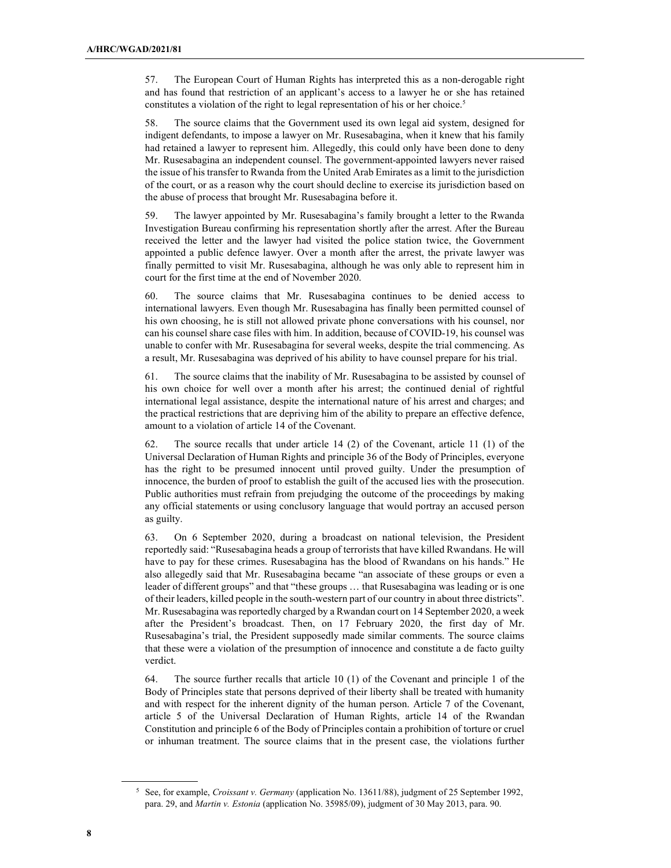57. The European Court of Human Rights has interpreted this as a non-derogable right and has found that restriction of an applicant's access to a lawyer he or she has retained constitutes a violation of the right to legal representation of his or her choice.<sup>5</sup>

58. The source claims that the Government used its own legal aid system, designed for indigent defendants, to impose a lawyer on Mr. Rusesabagina, when it knew that his family had retained a lawyer to represent him. Allegedly, this could only have been done to deny Mr. Rusesabagina an independent counsel. The government-appointed lawyers never raised the issue of his transfer to Rwanda from the United Arab Emirates as a limit to the jurisdiction of the court, or as a reason why the court should decline to exercise its jurisdiction based on the abuse of process that brought Mr. Rusesabagina before it.

59. The lawyer appointed by Mr. Rusesabagina's family brought a letter to the Rwanda Investigation Bureau confirming his representation shortly after the arrest. After the Bureau received the letter and the lawyer had visited the police station twice, the Government appointed a public defence lawyer. Over a month after the arrest, the private lawyer was finally permitted to visit Mr. Rusesabagina, although he was only able to represent him in court for the first time at the end of November 2020.

60. The source claims that Mr. Rusesabagina continues to be denied access to international lawyers. Even though Mr. Rusesabagina has finally been permitted counsel of his own choosing, he is still not allowed private phone conversations with his counsel, nor can his counsel share case files with him. In addition, because of COVID-19, his counsel was unable to confer with Mr. Rusesabagina for several weeks, despite the trial commencing. As a result, Mr. Rusesabagina was deprived of his ability to have counsel prepare for his trial.

61. The source claims that the inability of Mr. Rusesabagina to be assisted by counsel of his own choice for well over a month after his arrest; the continued denial of rightful international legal assistance, despite the international nature of his arrest and charges; and the practical restrictions that are depriving him of the ability to prepare an effective defence, amount to a violation of article 14 of the Covenant.

62. The source recalls that under article 14 (2) of the Covenant, article 11 (1) of the Universal Declaration of Human Rights and principle 36 of the Body of Principles, everyone has the right to be presumed innocent until proved guilty. Under the presumption of innocence, the burden of proof to establish the guilt of the accused lies with the prosecution. Public authorities must refrain from prejudging the outcome of the proceedings by making any official statements or using conclusory language that would portray an accused person as guilty.

63. On 6 September 2020, during a broadcast on national television, the President reportedly said: "Rusesabagina heads a group of terrorists that have killed Rwandans. He will have to pay for these crimes. Rusesabagina has the blood of Rwandans on his hands." He also allegedly said that Mr. Rusesabagina became "an associate of these groups or even a leader of different groups" and that "these groups … that Rusesabagina was leading or is one of their leaders, killed people in the south-western part of our country in about three districts". Mr. Rusesabagina was reportedly charged by a Rwandan court on 14 September 2020, a week after the President's broadcast. Then, on 17 February 2020, the first day of Mr. Rusesabagina's trial, the President supposedly made similar comments. The source claims that these were a violation of the presumption of innocence and constitute a de facto guilty verdict.

64. The source further recalls that article 10 (1) of the Covenant and principle 1 of the Body of Principles state that persons deprived of their liberty shall be treated with humanity and with respect for the inherent dignity of the human person. Article 7 of the Covenant, article 5 of the Universal Declaration of Human Rights, article 14 of the Rwandan Constitution and principle 6 of the Body of Principles contain a prohibition of torture or cruel or inhuman treatment. The source claims that in the present case, the violations further

<sup>&</sup>lt;sup>5</sup> See, for example, *Croissant v. Germany* (application No. 13611/88), judgment of 25 September 1992, para. 29, and Martin v. Estonia (application No. 35985/09), judgment of 30 May 2013, para. 90.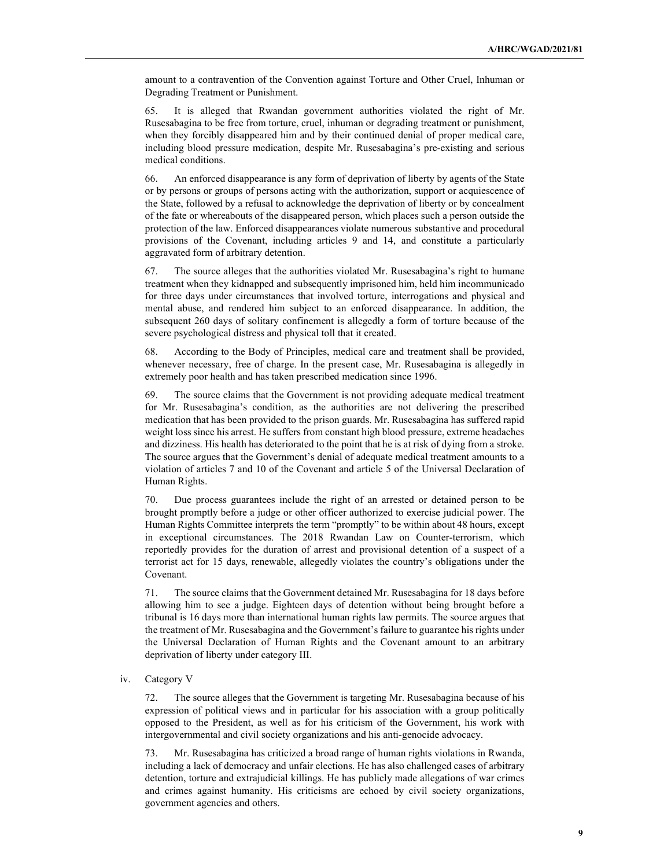amount to a contravention of the Convention against Torture and Other Cruel, Inhuman or Degrading Treatment or Punishment.

65. It is alleged that Rwandan government authorities violated the right of Mr. Rusesabagina to be free from torture, cruel, inhuman or degrading treatment or punishment, when they forcibly disappeared him and by their continued denial of proper medical care, including blood pressure medication, despite Mr. Rusesabagina's pre-existing and serious medical conditions.

66. An enforced disappearance is any form of deprivation of liberty by agents of the State or by persons or groups of persons acting with the authorization, support or acquiescence of the State, followed by a refusal to acknowledge the deprivation of liberty or by concealment of the fate or whereabouts of the disappeared person, which places such a person outside the protection of the law. Enforced disappearances violate numerous substantive and procedural provisions of the Covenant, including articles 9 and 14, and constitute a particularly aggravated form of arbitrary detention.

67. The source alleges that the authorities violated Mr. Rusesabagina's right to humane treatment when they kidnapped and subsequently imprisoned him, held him incommunicado for three days under circumstances that involved torture, interrogations and physical and mental abuse, and rendered him subject to an enforced disappearance. In addition, the subsequent 260 days of solitary confinement is allegedly a form of torture because of the severe psychological distress and physical toll that it created.

68. According to the Body of Principles, medical care and treatment shall be provided, whenever necessary, free of charge. In the present case, Mr. Rusesabagina is allegedly in extremely poor health and has taken prescribed medication since 1996.

69. The source claims that the Government is not providing adequate medical treatment for Mr. Rusesabagina's condition, as the authorities are not delivering the prescribed medication that has been provided to the prison guards. Mr. Rusesabagina has suffered rapid weight loss since his arrest. He suffers from constant high blood pressure, extreme headaches and dizziness. His health has deteriorated to the point that he is at risk of dying from a stroke. The source argues that the Government's denial of adequate medical treatment amounts to a violation of articles 7 and 10 of the Covenant and article 5 of the Universal Declaration of Human Rights.

70. Due process guarantees include the right of an arrested or detained person to be brought promptly before a judge or other officer authorized to exercise judicial power. The Human Rights Committee interprets the term "promptly" to be within about 48 hours, except in exceptional circumstances. The 2018 Rwandan Law on Counter-terrorism, which reportedly provides for the duration of arrest and provisional detention of a suspect of a terrorist act for 15 days, renewable, allegedly violates the country's obligations under the Covenant.

71. The source claims that the Government detained Mr. Rusesabagina for 18 days before allowing him to see a judge. Eighteen days of detention without being brought before a tribunal is 16 days more than international human rights law permits. The source argues that the treatment of Mr. Rusesabagina and the Government's failure to guarantee his rights under the Universal Declaration of Human Rights and the Covenant amount to an arbitrary deprivation of liberty under category III.

iv. Category V

72. The source alleges that the Government is targeting Mr. Rusesabagina because of his expression of political views and in particular for his association with a group politically opposed to the President, as well as for his criticism of the Government, his work with intergovernmental and civil society organizations and his anti-genocide advocacy.

73. Mr. Rusesabagina has criticized a broad range of human rights violations in Rwanda, including a lack of democracy and unfair elections. He has also challenged cases of arbitrary detention, torture and extrajudicial killings. He has publicly made allegations of war crimes and crimes against humanity. His criticisms are echoed by civil society organizations, government agencies and others.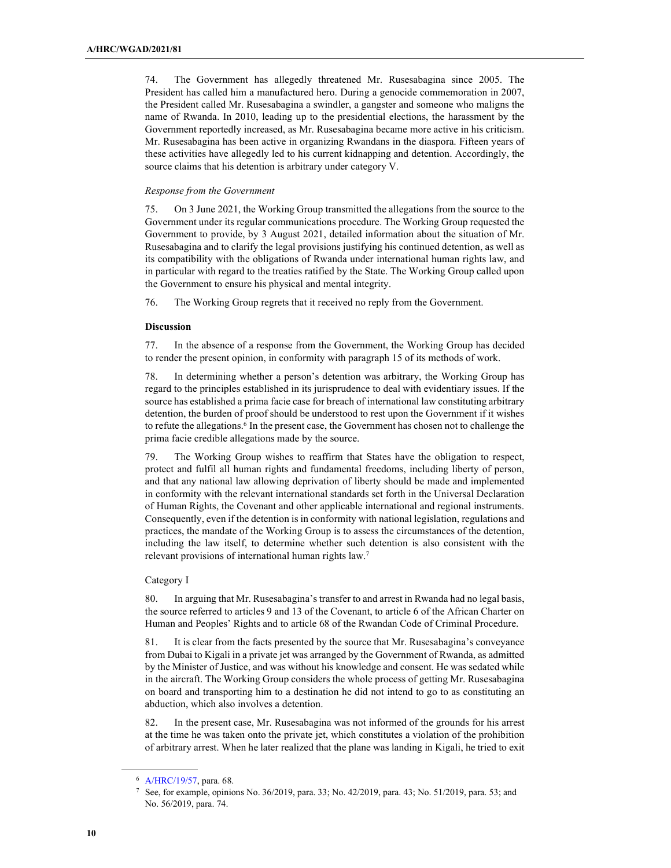74. The Government has allegedly threatened Mr. Rusesabagina since 2005. The President has called him a manufactured hero. During a genocide commemoration in 2007, the President called Mr. Rusesabagina a swindler, a gangster and someone who maligns the name of Rwanda. In 2010, leading up to the presidential elections, the harassment by the Government reportedly increased, as Mr. Rusesabagina became more active in his criticism. Mr. Rusesabagina has been active in organizing Rwandans in the diaspora. Fifteen years of these activities have allegedly led to his current kidnapping and detention. Accordingly, the source claims that his detention is arbitrary under category V.

#### Response from the Government

75. On 3 June 2021, the Working Group transmitted the allegations from the source to the Government under its regular communications procedure. The Working Group requested the Government to provide, by 3 August 2021, detailed information about the situation of Mr. Rusesabagina and to clarify the legal provisions justifying his continued detention, as well as its compatibility with the obligations of Rwanda under international human rights law, and in particular with regard to the treaties ratified by the State. The Working Group called upon the Government to ensure his physical and mental integrity.

76. The Working Group regrets that it received no reply from the Government.

### Discussion

77. In the absence of a response from the Government, the Working Group has decided to render the present opinion, in conformity with paragraph 15 of its methods of work.

78. In determining whether a person's detention was arbitrary, the Working Group has regard to the principles established in its jurisprudence to deal with evidentiary issues. If the source has established a prima facie case for breach of international law constituting arbitrary detention, the burden of proof should be understood to rest upon the Government if it wishes to refute the allegations.<sup>6</sup> In the present case, the Government has chosen not to challenge the prima facie credible allegations made by the source.

79. The Working Group wishes to reaffirm that States have the obligation to respect, protect and fulfil all human rights and fundamental freedoms, including liberty of person, and that any national law allowing deprivation of liberty should be made and implemented in conformity with the relevant international standards set forth in the Universal Declaration of Human Rights, the Covenant and other applicable international and regional instruments. Consequently, even if the detention is in conformity with national legislation, regulations and practices, the mandate of the Working Group is to assess the circumstances of the detention, including the law itself, to determine whether such detention is also consistent with the relevant provisions of international human rights law.<sup>7</sup>

#### Category I

80. In arguing that Mr. Rusesabagina's transfer to and arrest in Rwanda had no legal basis, the source referred to articles 9 and 13 of the Covenant, to article 6 of the African Charter on Human and Peoples' Rights and to article 68 of the Rwandan Code of Criminal Procedure.

81. It is clear from the facts presented by the source that Mr. Rusesabagina's conveyance from Dubai to Kigali in a private jet was arranged by the Government of Rwanda, as admitted by the Minister of Justice, and was without his knowledge and consent. He was sedated while in the aircraft. The Working Group considers the whole process of getting Mr. Rusesabagina on board and transporting him to a destination he did not intend to go to as constituting an abduction, which also involves a detention.

82. In the present case, Mr. Rusesabagina was not informed of the grounds for his arrest at the time he was taken onto the private jet, which constitutes a violation of the prohibition of arbitrary arrest. When he later realized that the plane was landing in Kigali, he tried to exit

<sup>6</sup> A/HRC/19/57, para. 68.

<sup>7</sup> See, for example, opinions No. 36/2019, para. 33; No. 42/2019, para. 43; No. 51/2019, para. 53; and No. 56/2019, para. 74.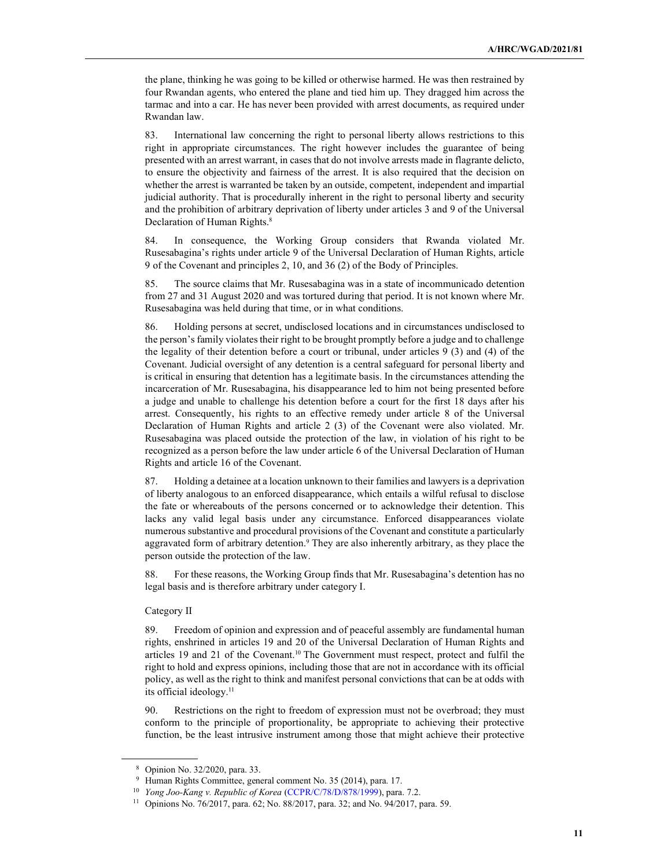the plane, thinking he was going to be killed or otherwise harmed. He was then restrained by four Rwandan agents, who entered the plane and tied him up. They dragged him across the tarmac and into a car. He has never been provided with arrest documents, as required under Rwandan law.

83. International law concerning the right to personal liberty allows restrictions to this right in appropriate circumstances. The right however includes the guarantee of being presented with an arrest warrant, in cases that do not involve arrests made in flagrante delicto, to ensure the objectivity and fairness of the arrest. It is also required that the decision on whether the arrest is warranted be taken by an outside, competent, independent and impartial judicial authority. That is procedurally inherent in the right to personal liberty and security and the prohibition of arbitrary deprivation of liberty under articles 3 and 9 of the Universal Declaration of Human Rights.<sup>8</sup>

84. In consequence, the Working Group considers that Rwanda violated Mr. Rusesabagina's rights under article 9 of the Universal Declaration of Human Rights, article 9 of the Covenant and principles 2, 10, and 36 (2) of the Body of Principles.

85. The source claims that Mr. Rusesabagina was in a state of incommunicado detention from 27 and 31 August 2020 and was tortured during that period. It is not known where Mr. Rusesabagina was held during that time, or in what conditions.

86. Holding persons at secret, undisclosed locations and in circumstances undisclosed to the person's family violates their right to be brought promptly before a judge and to challenge the legality of their detention before a court or tribunal, under articles 9 (3) and (4) of the Covenant. Judicial oversight of any detention is a central safeguard for personal liberty and is critical in ensuring that detention has a legitimate basis. In the circumstances attending the incarceration of Mr. Rusesabagina, his disappearance led to him not being presented before a judge and unable to challenge his detention before a court for the first 18 days after his arrest. Consequently, his rights to an effective remedy under article 8 of the Universal Declaration of Human Rights and article 2 (3) of the Covenant were also violated. Mr. Rusesabagina was placed outside the protection of the law, in violation of his right to be recognized as a person before the law under article 6 of the Universal Declaration of Human Rights and article 16 of the Covenant.

87. Holding a detainee at a location unknown to their families and lawyers is a deprivation of liberty analogous to an enforced disappearance, which entails a wilful refusal to disclose the fate or whereabouts of the persons concerned or to acknowledge their detention. This lacks any valid legal basis under any circumstance. Enforced disappearances violate numerous substantive and procedural provisions of the Covenant and constitute a particularly aggravated form of arbitrary detention.<sup>9</sup> They are also inherently arbitrary, as they place the person outside the protection of the law.

88. For these reasons, the Working Group finds that Mr. Rusesabagina's detention has no legal basis and is therefore arbitrary under category I.

#### Category II

89. Freedom of opinion and expression and of peaceful assembly are fundamental human rights, enshrined in articles 19 and 20 of the Universal Declaration of Human Rights and articles 19 and 21 of the Covenant.10 The Government must respect, protect and fulfil the right to hold and express opinions, including those that are not in accordance with its official policy, as well as the right to think and manifest personal convictions that can be at odds with its official ideology.<sup>11</sup>

90. Restrictions on the right to freedom of expression must not be overbroad; they must conform to the principle of proportionality, be appropriate to achieving their protective function, be the least intrusive instrument among those that might achieve their protective

<sup>8</sup> Opinion No. 32/2020, para. 33.

<sup>9</sup> Human Rights Committee, general comment No. 35 (2014), para. 17.

<sup>&</sup>lt;sup>10</sup> Yong Joo-Kang v. Republic of Korea (CCPR/C/78/D/878/1999), para. 7.2.

<sup>11</sup> Opinions No. 76/2017, para. 62; No. 88/2017, para. 32; and No. 94/2017, para. 59.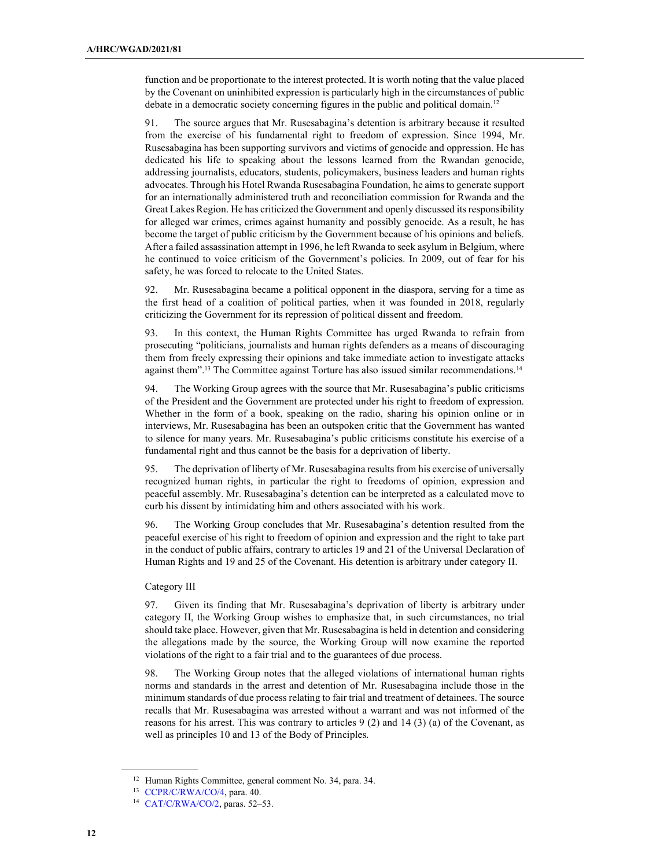function and be proportionate to the interest protected. It is worth noting that the value placed by the Covenant on uninhibited expression is particularly high in the circumstances of public debate in a democratic society concerning figures in the public and political domain.<sup>12</sup>

91. The source argues that Mr. Rusesabagina's detention is arbitrary because it resulted from the exercise of his fundamental right to freedom of expression. Since 1994, Mr. Rusesabagina has been supporting survivors and victims of genocide and oppression. He has dedicated his life to speaking about the lessons learned from the Rwandan genocide, addressing journalists, educators, students, policymakers, business leaders and human rights advocates. Through his Hotel Rwanda Rusesabagina Foundation, he aims to generate support for an internationally administered truth and reconciliation commission for Rwanda and the Great Lakes Region. He has criticized the Government and openly discussed its responsibility for alleged war crimes, crimes against humanity and possibly genocide. As a result, he has become the target of public criticism by the Government because of his opinions and beliefs. After a failed assassination attempt in 1996, he left Rwanda to seek asylum in Belgium, where he continued to voice criticism of the Government's policies. In 2009, out of fear for his safety, he was forced to relocate to the United States.

92. Mr. Rusesabagina became a political opponent in the diaspora, serving for a time as the first head of a coalition of political parties, when it was founded in 2018, regularly criticizing the Government for its repression of political dissent and freedom.

93. In this context, the Human Rights Committee has urged Rwanda to refrain from prosecuting "politicians, journalists and human rights defenders as a means of discouraging them from freely expressing their opinions and take immediate action to investigate attacks against them".<sup>13</sup> The Committee against Torture has also issued similar recommendations.<sup>14</sup>

94. The Working Group agrees with the source that Mr. Rusesabagina's public criticisms of the President and the Government are protected under his right to freedom of expression. Whether in the form of a book, speaking on the radio, sharing his opinion online or in interviews, Mr. Rusesabagina has been an outspoken critic that the Government has wanted to silence for many years. Mr. Rusesabagina's public criticisms constitute his exercise of a fundamental right and thus cannot be the basis for a deprivation of liberty.

95. The deprivation of liberty of Mr. Rusesabagina results from his exercise of universally recognized human rights, in particular the right to freedoms of opinion, expression and peaceful assembly. Mr. Rusesabagina's detention can be interpreted as a calculated move to curb his dissent by intimidating him and others associated with his work.

96. The Working Group concludes that Mr. Rusesabagina's detention resulted from the peaceful exercise of his right to freedom of opinion and expression and the right to take part in the conduct of public affairs, contrary to articles 19 and 21 of the Universal Declaration of Human Rights and 19 and 25 of the Covenant. His detention is arbitrary under category II.

## Category III

97. Given its finding that Mr. Rusesabagina's deprivation of liberty is arbitrary under category II, the Working Group wishes to emphasize that, in such circumstances, no trial should take place. However, given that Mr. Rusesabagina is held in detention and considering the allegations made by the source, the Working Group will now examine the reported violations of the right to a fair trial and to the guarantees of due process.

98. The Working Group notes that the alleged violations of international human rights norms and standards in the arrest and detention of Mr. Rusesabagina include those in the minimum standards of due process relating to fair trial and treatment of detainees. The source recalls that Mr. Rusesabagina was arrested without a warrant and was not informed of the reasons for his arrest. This was contrary to articles 9 (2) and 14 (3) (a) of the Covenant, as well as principles 10 and 13 of the Body of Principles.

<sup>&</sup>lt;sup>12</sup> Human Rights Committee, general comment No. 34, para. 34.

<sup>13</sup> CCPR/C/RWA/CO/4, para. 40.

<sup>14</sup> CAT/C/RWA/CO/2, paras. 52–53.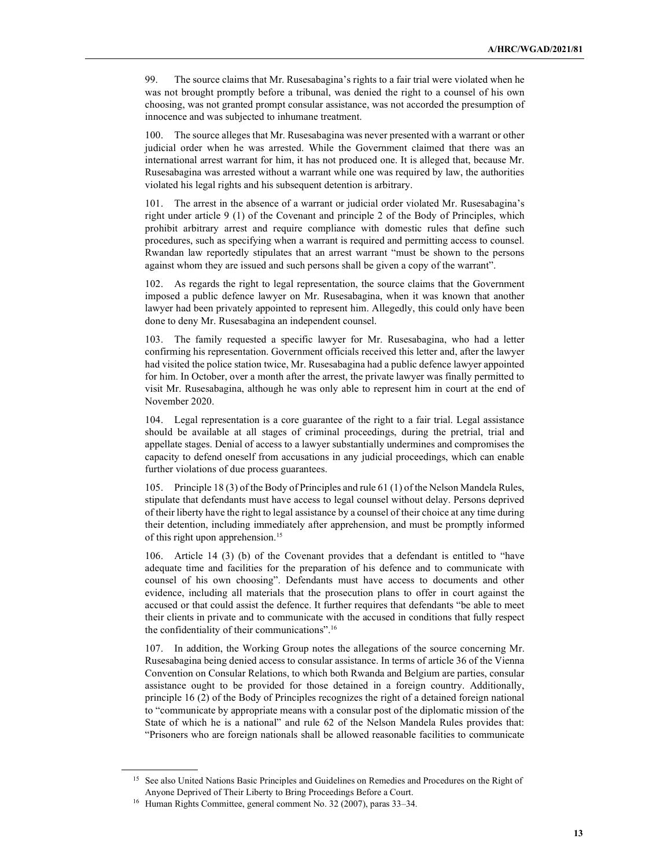99. The source claims that Mr. Rusesabagina's rights to a fair trial were violated when he was not brought promptly before a tribunal, was denied the right to a counsel of his own choosing, was not granted prompt consular assistance, was not accorded the presumption of innocence and was subjected to inhumane treatment.

100. The source alleges that Mr. Rusesabagina was never presented with a warrant or other judicial order when he was arrested. While the Government claimed that there was an international arrest warrant for him, it has not produced one. It is alleged that, because Mr. Rusesabagina was arrested without a warrant while one was required by law, the authorities violated his legal rights and his subsequent detention is arbitrary.

101. The arrest in the absence of a warrant or judicial order violated Mr. Rusesabagina's right under article 9 (1) of the Covenant and principle 2 of the Body of Principles, which prohibit arbitrary arrest and require compliance with domestic rules that define such procedures, such as specifying when a warrant is required and permitting access to counsel. Rwandan law reportedly stipulates that an arrest warrant "must be shown to the persons against whom they are issued and such persons shall be given a copy of the warrant".

102. As regards the right to legal representation, the source claims that the Government imposed a public defence lawyer on Mr. Rusesabagina, when it was known that another lawyer had been privately appointed to represent him. Allegedly, this could only have been done to deny Mr. Rusesabagina an independent counsel.

103. The family requested a specific lawyer for Mr. Rusesabagina, who had a letter confirming his representation. Government officials received this letter and, after the lawyer had visited the police station twice, Mr. Rusesabagina had a public defence lawyer appointed for him. In October, over a month after the arrest, the private lawyer was finally permitted to visit Mr. Rusesabagina, although he was only able to represent him in court at the end of November 2020.

104. Legal representation is a core guarantee of the right to a fair trial. Legal assistance should be available at all stages of criminal proceedings, during the pretrial, trial and appellate stages. Denial of access to a lawyer substantially undermines and compromises the capacity to defend oneself from accusations in any judicial proceedings, which can enable further violations of due process guarantees.

105. Principle 18 (3) of the Body of Principles and rule 61 (1) of the Nelson Mandela Rules, stipulate that defendants must have access to legal counsel without delay. Persons deprived of their liberty have the right to legal assistance by a counsel of their choice at any time during their detention, including immediately after apprehension, and must be promptly informed of this right upon apprehension.<sup>15</sup>

106. Article 14 (3) (b) of the Covenant provides that a defendant is entitled to "have adequate time and facilities for the preparation of his defence and to communicate with counsel of his own choosing". Defendants must have access to documents and other evidence, including all materials that the prosecution plans to offer in court against the accused or that could assist the defence. It further requires that defendants "be able to meet their clients in private and to communicate with the accused in conditions that fully respect the confidentiality of their communications".<sup>16</sup>

107. In addition, the Working Group notes the allegations of the source concerning Mr. Rusesabagina being denied access to consular assistance. In terms of article 36 of the Vienna Convention on Consular Relations, to which both Rwanda and Belgium are parties, consular assistance ought to be provided for those detained in a foreign country. Additionally, principle 16 (2) of the Body of Principles recognizes the right of a detained foreign national to "communicate by appropriate means with a consular post of the diplomatic mission of the State of which he is a national" and rule 62 of the Nelson Mandela Rules provides that: "Prisoners who are foreign nationals shall be allowed reasonable facilities to communicate

<sup>&</sup>lt;sup>15</sup> See also United Nations Basic Principles and Guidelines on Remedies and Procedures on the Right of Anyone Deprived of Their Liberty to Bring Proceedings Before a Court.

<sup>&</sup>lt;sup>16</sup> Human Rights Committee, general comment No. 32 (2007), paras 33-34.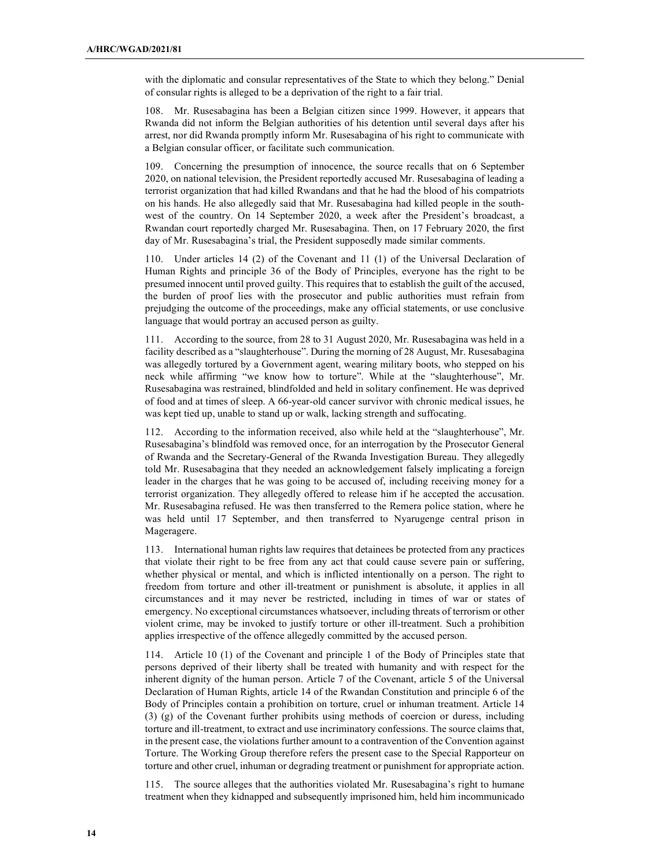with the diplomatic and consular representatives of the State to which they belong." Denial of consular rights is alleged to be a deprivation of the right to a fair trial.

108. Mr. Rusesabagina has been a Belgian citizen since 1999. However, it appears that Rwanda did not inform the Belgian authorities of his detention until several days after his arrest, nor did Rwanda promptly inform Mr. Rusesabagina of his right to communicate with a Belgian consular officer, or facilitate such communication.

109. Concerning the presumption of innocence, the source recalls that on 6 September 2020, on national television, the President reportedly accused Mr. Rusesabagina of leading a terrorist organization that had killed Rwandans and that he had the blood of his compatriots on his hands. He also allegedly said that Mr. Rusesabagina had killed people in the southwest of the country. On 14 September 2020, a week after the President's broadcast, a Rwandan court reportedly charged Mr. Rusesabagina. Then, on 17 February 2020, the first day of Mr. Rusesabagina's trial, the President supposedly made similar comments.

110. Under articles 14 (2) of the Covenant and 11 (1) of the Universal Declaration of Human Rights and principle 36 of the Body of Principles, everyone has the right to be presumed innocent until proved guilty. This requires that to establish the guilt of the accused, the burden of proof lies with the prosecutor and public authorities must refrain from prejudging the outcome of the proceedings, make any official statements, or use conclusive language that would portray an accused person as guilty.

111. According to the source, from 28 to 31 August 2020, Mr. Rusesabagina was held in a facility described as a "slaughterhouse". During the morning of 28 August, Mr. Rusesabagina was allegedly tortured by a Government agent, wearing military boots, who stepped on his neck while affirming "we know how to torture". While at the "slaughterhouse", Mr. Rusesabagina was restrained, blindfolded and held in solitary confinement. He was deprived of food and at times of sleep. A 66-year-old cancer survivor with chronic medical issues, he was kept tied up, unable to stand up or walk, lacking strength and suffocating.

112. According to the information received, also while held at the "slaughterhouse", Mr. Rusesabagina's blindfold was removed once, for an interrogation by the Prosecutor General of Rwanda and the Secretary-General of the Rwanda Investigation Bureau. They allegedly told Mr. Rusesabagina that they needed an acknowledgement falsely implicating a foreign leader in the charges that he was going to be accused of, including receiving money for a terrorist organization. They allegedly offered to release him if he accepted the accusation. Mr. Rusesabagina refused. He was then transferred to the Remera police station, where he was held until 17 September, and then transferred to Nyarugenge central prison in Mageragere.

113. International human rights law requires that detainees be protected from any practices that violate their right to be free from any act that could cause severe pain or suffering, whether physical or mental, and which is inflicted intentionally on a person. The right to freedom from torture and other ill-treatment or punishment is absolute, it applies in all circumstances and it may never be restricted, including in times of war or states of emergency. No exceptional circumstances whatsoever, including threats of terrorism or other violent crime, may be invoked to justify torture or other ill-treatment. Such a prohibition applies irrespective of the offence allegedly committed by the accused person.

114. Article 10 (1) of the Covenant and principle 1 of the Body of Principles state that persons deprived of their liberty shall be treated with humanity and with respect for the inherent dignity of the human person. Article 7 of the Covenant, article 5 of the Universal Declaration of Human Rights, article 14 of the Rwandan Constitution and principle 6 of the Body of Principles contain a prohibition on torture, cruel or inhuman treatment. Article 14 (3) (g) of the Covenant further prohibits using methods of coercion or duress, including torture and ill-treatment, to extract and use incriminatory confessions. The source claims that, in the present case, the violations further amount to a contravention of the Convention against Torture. The Working Group therefore refers the present case to the Special Rapporteur on torture and other cruel, inhuman or degrading treatment or punishment for appropriate action.

115. The source alleges that the authorities violated Mr. Rusesabagina's right to humane treatment when they kidnapped and subsequently imprisoned him, held him incommunicado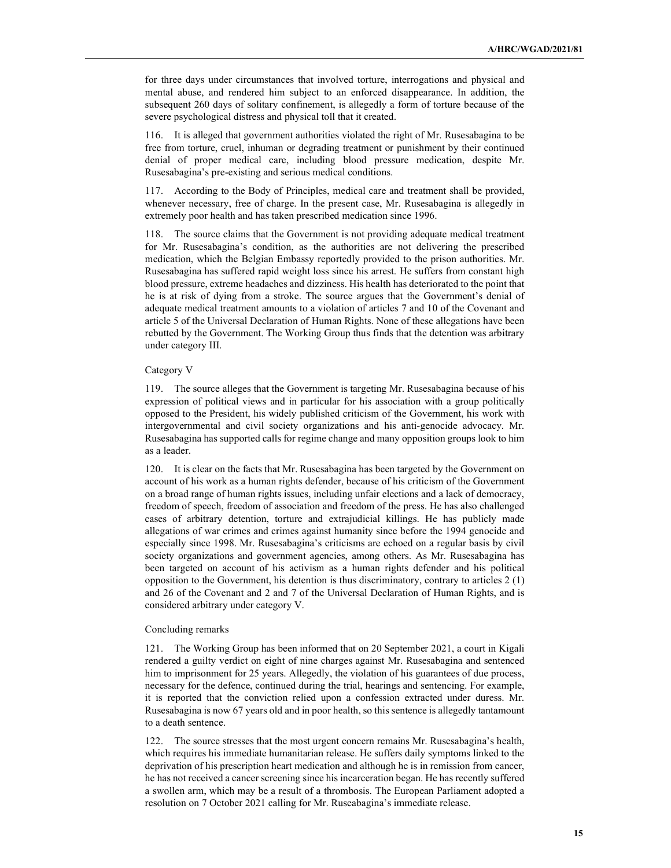for three days under circumstances that involved torture, interrogations and physical and mental abuse, and rendered him subject to an enforced disappearance. In addition, the subsequent 260 days of solitary confinement, is allegedly a form of torture because of the severe psychological distress and physical toll that it created.

116. It is alleged that government authorities violated the right of Mr. Rusesabagina to be free from torture, cruel, inhuman or degrading treatment or punishment by their continued denial of proper medical care, including blood pressure medication, despite Mr. Rusesabagina's pre-existing and serious medical conditions.

117. According to the Body of Principles, medical care and treatment shall be provided, whenever necessary, free of charge. In the present case, Mr. Rusesabagina is allegedly in extremely poor health and has taken prescribed medication since 1996.

118. The source claims that the Government is not providing adequate medical treatment for Mr. Rusesabagina's condition, as the authorities are not delivering the prescribed medication, which the Belgian Embassy reportedly provided to the prison authorities. Mr. Rusesabagina has suffered rapid weight loss since his arrest. He suffers from constant high blood pressure, extreme headaches and dizziness. His health has deteriorated to the point that he is at risk of dying from a stroke. The source argues that the Government's denial of adequate medical treatment amounts to a violation of articles 7 and 10 of the Covenant and article 5 of the Universal Declaration of Human Rights. None of these allegations have been rebutted by the Government. The Working Group thus finds that the detention was arbitrary under category III.

#### Category V

119. The source alleges that the Government is targeting Mr. Rusesabagina because of his expression of political views and in particular for his association with a group politically opposed to the President, his widely published criticism of the Government, his work with intergovernmental and civil society organizations and his anti-genocide advocacy. Mr. Rusesabagina has supported calls for regime change and many opposition groups look to him as a leader.

120. It is clear on the facts that Mr. Rusesabagina has been targeted by the Government on account of his work as a human rights defender, because of his criticism of the Government on a broad range of human rights issues, including unfair elections and a lack of democracy, freedom of speech, freedom of association and freedom of the press. He has also challenged cases of arbitrary detention, torture and extrajudicial killings. He has publicly made allegations of war crimes and crimes against humanity since before the 1994 genocide and especially since 1998. Mr. Rusesabagina's criticisms are echoed on a regular basis by civil society organizations and government agencies, among others. As Mr. Rusesabagina has been targeted on account of his activism as a human rights defender and his political opposition to the Government, his detention is thus discriminatory, contrary to articles  $2(1)$ and 26 of the Covenant and 2 and 7 of the Universal Declaration of Human Rights, and is considered arbitrary under category V.

#### Concluding remarks

121. The Working Group has been informed that on 20 September 2021, a court in Kigali rendered a guilty verdict on eight of nine charges against Mr. Rusesabagina and sentenced him to imprisonment for 25 years. Allegedly, the violation of his guarantees of due process, necessary for the defence, continued during the trial, hearings and sentencing. For example, it is reported that the conviction relied upon a confession extracted under duress. Mr. Rusesabagina is now 67 years old and in poor health, so this sentence is allegedly tantamount to a death sentence.

122. The source stresses that the most urgent concern remains Mr. Rusesabagina's health, which requires his immediate humanitarian release. He suffers daily symptoms linked to the deprivation of his prescription heart medication and although he is in remission from cancer, he has not received a cancer screening since his incarceration began. He has recently suffered a swollen arm, which may be a result of a thrombosis. The European Parliament adopted a resolution on 7 October 2021 calling for Mr. Ruseabagina's immediate release.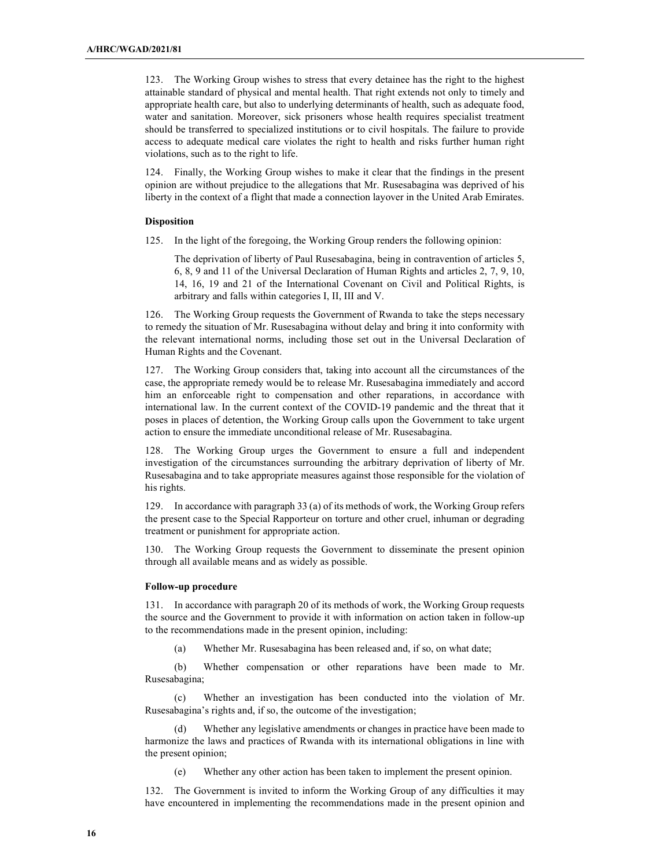123. The Working Group wishes to stress that every detainee has the right to the highest attainable standard of physical and mental health. That right extends not only to timely and appropriate health care, but also to underlying determinants of health, such as adequate food, water and sanitation. Moreover, sick prisoners whose health requires specialist treatment should be transferred to specialized institutions or to civil hospitals. The failure to provide access to adequate medical care violates the right to health and risks further human right violations, such as to the right to life.

124. Finally, the Working Group wishes to make it clear that the findings in the present opinion are without prejudice to the allegations that Mr. Rusesabagina was deprived of his liberty in the context of a flight that made a connection layover in the United Arab Emirates.

#### **Disposition**

125. In the light of the foregoing, the Working Group renders the following opinion:

The deprivation of liberty of Paul Rusesabagina, being in contravention of articles 5, 6, 8, 9 and 11 of the Universal Declaration of Human Rights and articles 2, 7, 9, 10, 14, 16, 19 and 21 of the International Covenant on Civil and Political Rights, is arbitrary and falls within categories I, II, III and V.

126. The Working Group requests the Government of Rwanda to take the steps necessary to remedy the situation of Mr. Rusesabagina without delay and bring it into conformity with the relevant international norms, including those set out in the Universal Declaration of Human Rights and the Covenant.

127. The Working Group considers that, taking into account all the circumstances of the case, the appropriate remedy would be to release Mr. Rusesabagina immediately and accord him an enforceable right to compensation and other reparations, in accordance with international law. In the current context of the COVID-19 pandemic and the threat that it poses in places of detention, the Working Group calls upon the Government to take urgent action to ensure the immediate unconditional release of Mr. Rusesabagina.

128. The Working Group urges the Government to ensure a full and independent investigation of the circumstances surrounding the arbitrary deprivation of liberty of Mr. Rusesabagina and to take appropriate measures against those responsible for the violation of his rights.

129. In accordance with paragraph 33 (a) of its methods of work, the Working Group refers the present case to the Special Rapporteur on torture and other cruel, inhuman or degrading treatment or punishment for appropriate action.

130. The Working Group requests the Government to disseminate the present opinion through all available means and as widely as possible.

#### Follow-up procedure

131. In accordance with paragraph 20 of its methods of work, the Working Group requests the source and the Government to provide it with information on action taken in follow-up to the recommendations made in the present opinion, including:

(a) Whether Mr. Rusesabagina has been released and, if so, on what date;

 (b) Whether compensation or other reparations have been made to Mr. Rusesabagina;

 (c) Whether an investigation has been conducted into the violation of Mr. Rusesabagina's rights and, if so, the outcome of the investigation;

 (d) Whether any legislative amendments or changes in practice have been made to harmonize the laws and practices of Rwanda with its international obligations in line with the present opinion;

(e) Whether any other action has been taken to implement the present opinion.

132. The Government is invited to inform the Working Group of any difficulties it may have encountered in implementing the recommendations made in the present opinion and